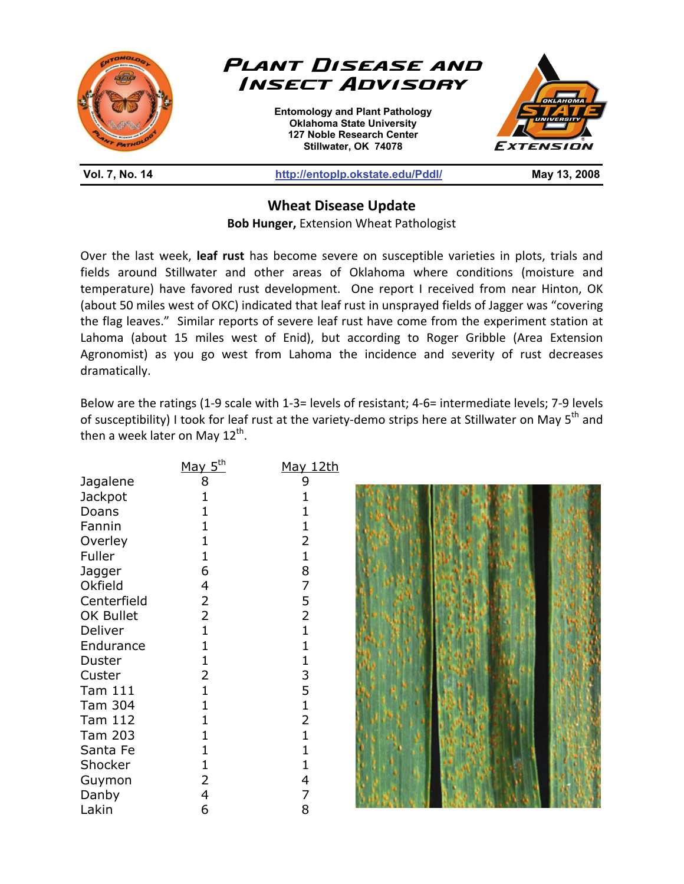

**Wheat Disease Update** 

**Bob Hunger,** Extension Wheat Pathologist

Over the last week, **leaf rust** has become severe on susceptible varieties in plots, trials and fields around Stillwater and other areas of Oklahoma where conditions (moisture and temperature) have favored rust development. One report I received from near Hinton, OK (about 50 miles west of OKC) indicated that leaf rust in unsprayed fields of Jagger was "covering the flag leaves." Similar reports of severe leaf rust have come from the experiment station at Lahoma (about 15 miles west of Enid), but according to Roger Gribble (Area Extension Agronomist) as you go west from Lahoma the incidence and severity of rust decreases dramatically.

Below are the ratings (1-9 scale with 1-3= levels of resistant; 4-6= intermediate levels; 7-9 levels of susceptibility) I took for leaf rust at the variety-demo strips here at Stillwater on May 5<sup>th</sup> and then a week later on May  $12^{th}$ .

|                | May $5th$ | May 12th       |  |
|----------------|-----------|----------------|--|
| Jagalene       | 8         | 9              |  |
| <b>Jackpot</b> |           |                |  |
| Doans          |           |                |  |
| Fannin         |           |                |  |
| Overley        |           |                |  |
| Fuller         |           |                |  |
| Jagger         | 6         | 8              |  |
| Okfield        | 4         | 7              |  |
| Centerfield    | 2         | 5              |  |
| OK Bullet      | 2         | $\overline{2}$ |  |
| Deliver        |           |                |  |
| Endurance      |           |                |  |
| Duster         |           |                |  |
| Custer         | 2         | 3              |  |
| Tam 111        |           | 5              |  |
| Tam 304        |           |                |  |
| Tam 112        |           |                |  |
| Tam 203        |           |                |  |
| Santa Fe       |           |                |  |
| Shocker        |           |                |  |
| Guymon         |           | 4              |  |
| Danby          | 4         | 7              |  |
| Lakin          | 6         | 8              |  |